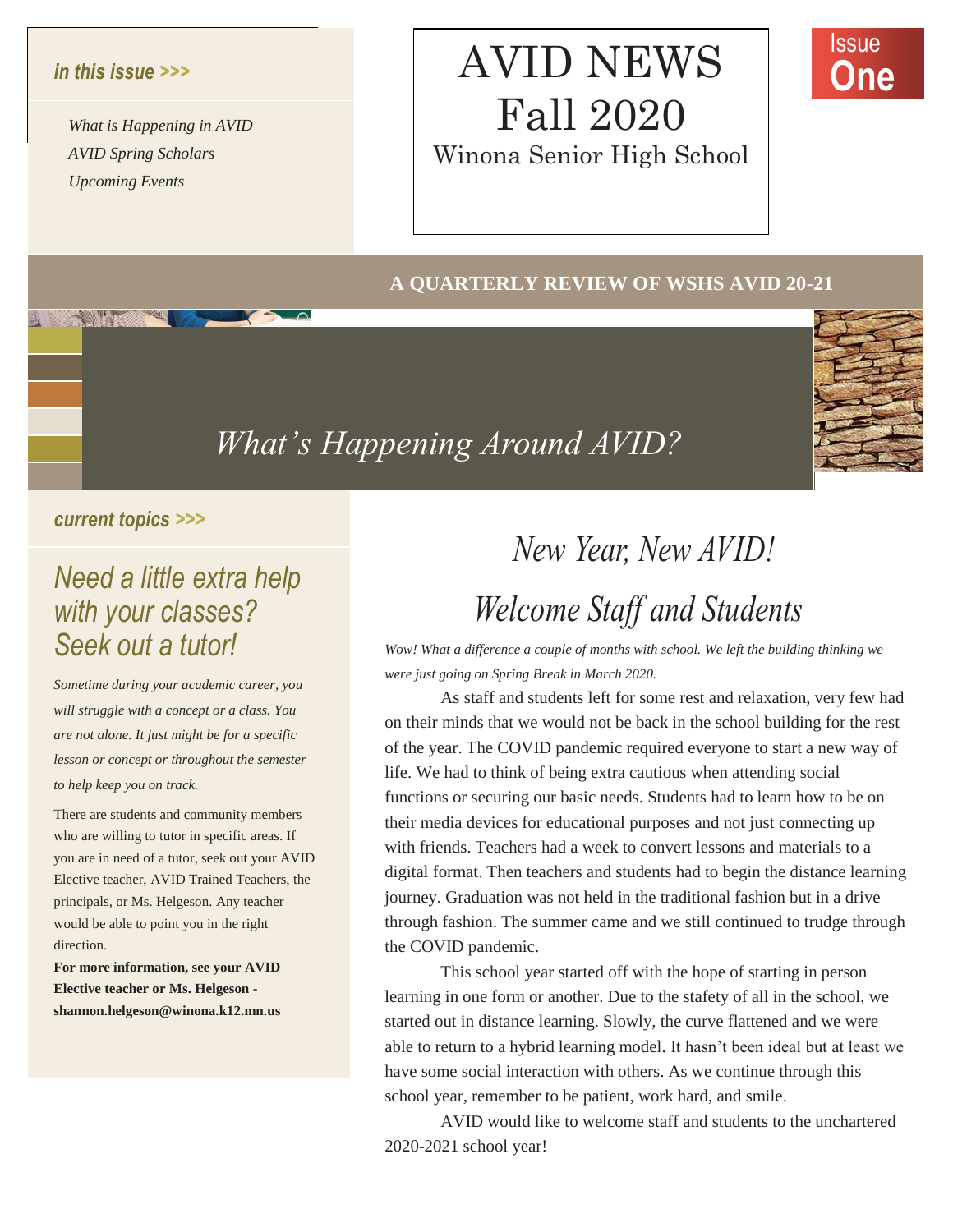#### $\frac{d}{dx}$  do do document or use the document of use this space that space the space of use this space  $\frac{d}{dx}$ *in this issue >>>*

 $AVID$  *Spring Scholars What is Happening in AVID Upcoming Events*

## AVID NEWS Fall 2020 Winona Senior High School



### **A QUARTERLY REVIEW OF WSHS AVID 20-21**



### *What' s Happening Around AVID?*

### *current topics >>>*

### *Need a little extra help with your classes? Seek out a tutor!*

*Sometime during your academic career, you will struggle with a concept or a class. You are not alone. It just might be for a specific lesson or concept or throughout the semester to help keep you on track.*

There are students and community members who are willing to tutor in specific areas. If you are in need of a tutor, seek out your AVID Elective teacher, AVID Trained Teachers, the principals, or Ms. Helgeson. Any teacher would be able to point you in the right direction.

**For more information, see your AVID Elective teacher or Ms. Helgeson shannon.helgeson@winona.k12.mn.us**

# *New Year, New AVID! Mew Year, New AVID!*<br> *New Year, New AVID!*<br> *Melcome Staff and Students*

*Wow! What a difference a couple of months with school. We left the building thinking we were just going on Spring Break in March 2020.*

As staff and students left for some rest and relaxation, very few had on their minds that we would not be back in the school building for the rest of the year. The COVID pandemic required everyone to start a new way of life. We had to think of being extra cautious when attending social functions or securing our basic needs. Students had to learn how to be on their media devices for educational purposes and not just connecting up with friends. Teachers had a week to convert lessons and materials to a digital format. Then teachers and students had to begin the distance learning journey. Graduation was not held in the traditional fashion but in a drive through fashion. The summer came and we still continued to trudge through the COVID pandemic. **Figure 1.1** Wow! What a difference a couple of months with school. We left the build<br>
e during your academic career, you<br>
e during your academic career, you<br>
e during your academic career, you<br>
a staff and students left f we nad to<br>tions or se<br>c media de<br>friends. The friends.<br>mey. Gradu

> This school year started off with the hope of starting in person learning in one form or another. Due to the stafety of all in the school, we started out in distance learning. Slowly, the curve flattened and we were able to return to a hybrid learning model. It hasn't been ideal but at least we have some social interaction with others. As we continue through this school year, remember to be patient, work hard, and smile.

AVID would like to welcome staff and students to the unchartered 2020-2021 school year!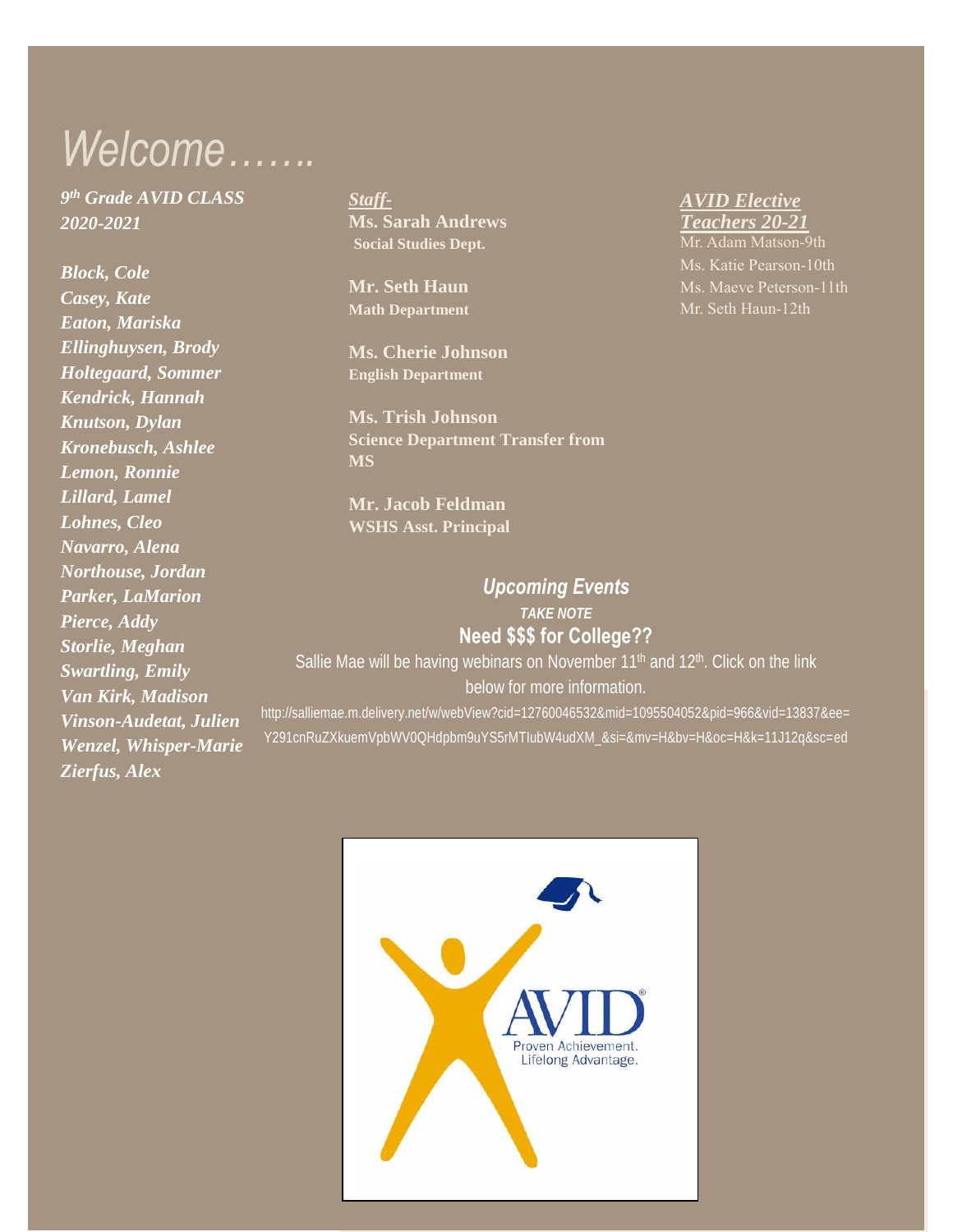# *Welcome…….*

*9 th Grade AVID CLASS 2020-2021*

*Block, Cole Casey, Kate Eaton, Mariska Ellinghuysen, Brody Holtegaard, Sommer Kendrick, Hannah Knutson, Dylan Kronebusch, Ashlee Lemon, Ronnie Lillard, Lamel Lohnes, Cleo Navarro, Alena Northouse, Jordan Parker, LaMarion Pierce, Addy Storlie, Meghan Swartling, Emily Van Kirk, Madison Vinson-Audetat, Julien Wenzel, Whisper-Marie Zierfus, Alex*

*Staff-***Ms. Sarah Andrews Social Studies Dept.**

**Mr. Seth Haun Math Department**

**Ms. Cherie Johnson English Department**

**Ms. Trish Johnson Science Department Transfer from MS**

**Mr. Jacob Feldman WSHS Asst. Principal**

#### *AVID Elective Teachers 20-21*

Mr. Adam Matson-9th Ms. Katie Pearson-10th Mr. Seth Haun-12th

### *Upcoming Events TAKE NOTE* **Need \$\$\$ for College??**

Sallie Mae will be having webinars on November  $11<sup>th</sup>$  and  $12<sup>th</sup>$ . Click on the link below for more information.

http://salliemae.m.delivery.net/w/webView?cid=12760046532&mid=1095504052&pid=966&vid=13837&ee= Y291cnRuZXkuemVpbWV0QHdpbm9uYS5rMTIubW4udXM\_&si=&mv=H&bv=H&oc=H&k=11J12q&sc=ed

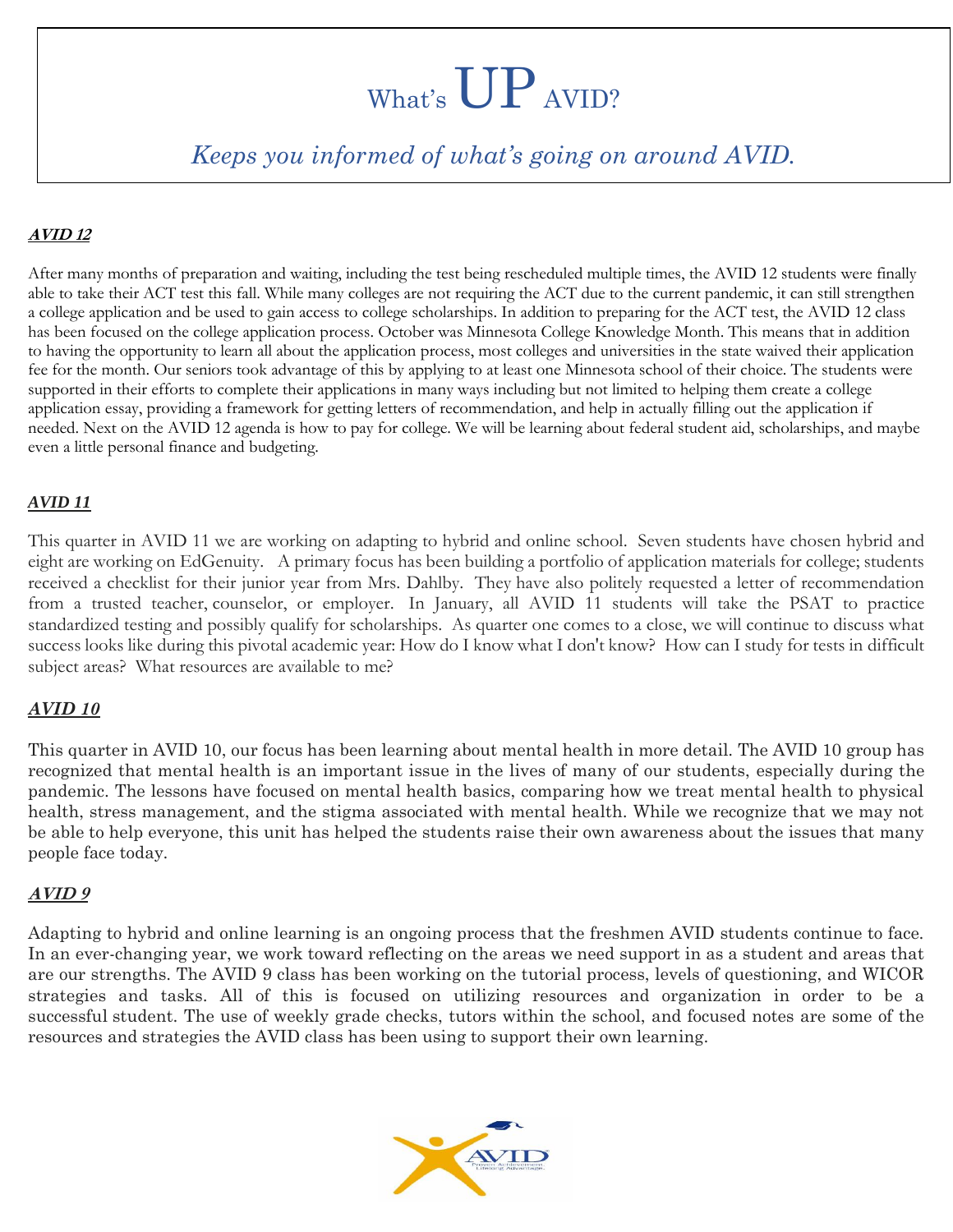# What's UP AVID?

### *Keeps you informed of what's going on around AVID.*

### **AVID 12**

After many months of preparation and waiting, including the test being rescheduled multiple times, the AVID 12 students were finally able to take their ACT test this fall. While many colleges are not requiring the ACT due to the current pandemic, it can still strengthen a college application and be used to gain access to college scholarships. In addition to preparing for the ACT test, the AVID 12 class has been focused on the college application process. October was Minnesota College Knowledge Month. This means that in addition to having the opportunity to learn all about the application process, most colleges and universities in the state waived their application fee for the month. Our seniors took advantage of this by applying to at least one Minnesota school of their choice. The students were supported in their efforts to complete their applications in many ways including but not limited to helping them create a college application essay, providing a framework for getting letters of recommendation, and help in actually filling out the application if needed. Next on the AVID 12 agenda is how to pay for college. We will be learning about federal student aid, scholarships, and maybe even a little personal finance and budgeting.

### *AVID 11*

This quarter in AVID 11 we are working on adapting to hybrid and online school. Seven students have chosen hybrid and eight are working on EdGenuity. A primary focus has been building a portfolio of application materials for college; students received a checklist for their junior year from Mrs. Dahlby. They have also politely requested a letter of recommendation from a trusted teacher, counselor, or employer. In January, all AVID 11 students will take the PSAT to practice standardized testing and possibly qualify for scholarships. As quarter one comes to a close, we will continue to discuss what success looks like during this pivotal academic year: How do I know what I don't know? How can I study for tests in difficult subject areas? What resources are available to me?

### *AVID 10*

This quarter in AVID 10, our focus has been learning about mental health in more detail. The AVID 10 group has recognized that mental health is an important issue in the lives of many of our students, especially during the pandemic. The lessons have focused on mental health basics, comparing how we treat mental health to physical health, stress management, and the stigma associated with mental health. While we recognize that we may not be able to help everyone, this unit has helped the students raise their own awareness about the issues that many people face today.

#### **AVID 9**

Adapting to hybrid and online learning is an ongoing process that the freshmen AVID students continue to face. In an ever-changing year, we work toward reflecting on the areas we need support in as a student and areas that are our strengths. The AVID 9 class has been working on the tutorial process, levels of questioning, and WICOR strategies and tasks. All of this is focused on utilizing resources and organization in order to be a successful student. The use of weekly grade checks, tutors within the school, and focused notes are some of the resources and strategies the AVID class has been using to support their own learning.

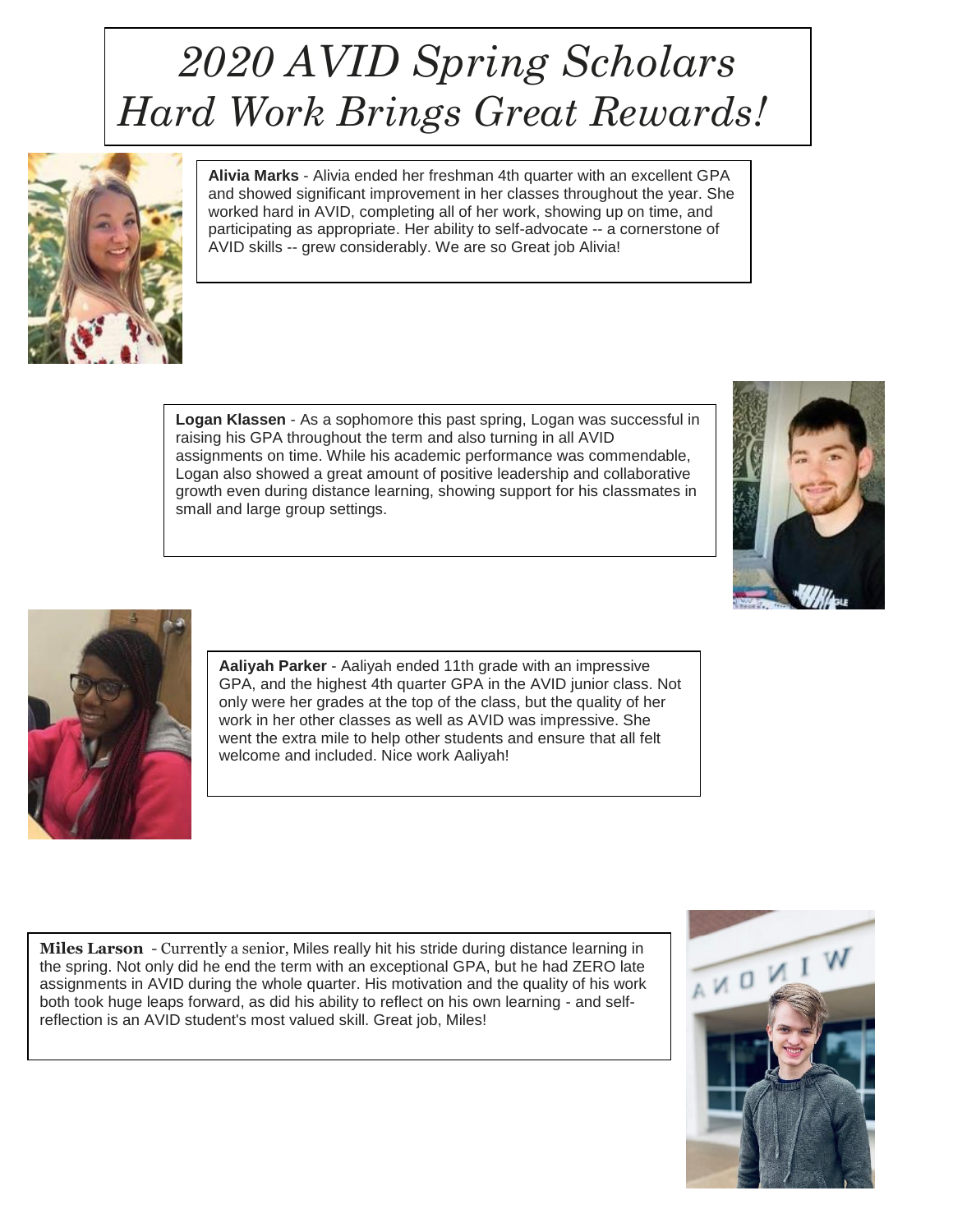## *2020 AVID Spring Scholars Hard Work Brings Great Rewards!*



**Alivia Marks** - Alivia ended her freshman 4th quarter with an excellent GPA and showed significant improvement in her classes throughout the year. She worked hard in AVID, completing all of her work, showing up on time, and participating as appropriate. Her ability to self-advocate -- a cornerstone of AVID skills -- grew considerably. We are so Great job Alivia!

**Logan Klassen** - As a sophomore this past spring, Logan was successful in raising his GPA throughout the term and also turning in all AVID assignments on time. While his academic performance was commendable, Logan also showed a great amount of positive leadership and collaborative growth even during distance learning, showing support for his classmates in small and large group settings.





**Aaliyah Parker** - Aaliyah ended 11th grade with an impressive GPA, and the highest 4th quarter GPA in the AVID junior class. Not only were her grades at the top of the class, but the quality of her work in her other classes as well as AVID was impressive. She went the extra mile to help other students and ensure that all felt welcome and included. Nice work Aaliyah!

**Miles Larson** - Currently a senior, Miles really hit his stride during distance learning in the spring. Not only did he end the term with an exceptional GPA, but he had ZERO late assignments in AVID during the whole quarter. His motivation and the quality of his work both took huge leaps forward, as did his ability to reflect on his own learning - and selfreflection is an AVID student's most valued skill. Great job, Miles!